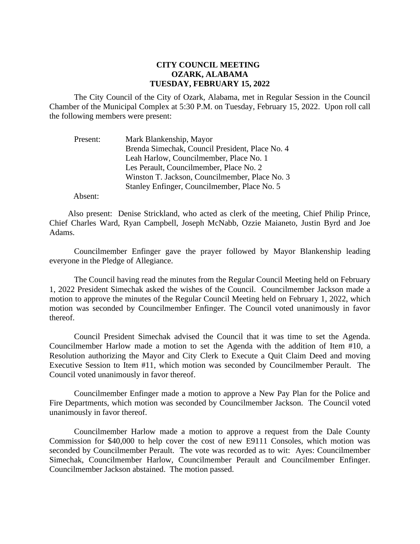## **CITY COUNCIL MEETING OZARK, ALABAMA TUESDAY, FEBRUARY 15, 2022**

The City Council of the City of Ozark, Alabama, met in Regular Session in the Council Chamber of the Municipal Complex at 5:30 P.M. on Tuesday, February 15, 2022. Upon roll call the following members were present:

| Present: | Mark Blankenship, Mayor                         |
|----------|-------------------------------------------------|
|          | Brenda Simechak, Council President, Place No. 4 |
|          | Leah Harlow, Councilmember, Place No. 1         |
|          | Les Perault, Councilmember, Place No. 2         |
|          | Winston T. Jackson, Councilmember, Place No. 3  |
|          | Stanley Enfinger, Councilmember, Place No. 5    |

Absent:

Also present: Denise Strickland, who acted as clerk of the meeting, Chief Philip Prince, Chief Charles Ward, Ryan Campbell, Joseph McNabb, Ozzie Maianeto, Justin Byrd and Joe Adams.

Councilmember Enfinger gave the prayer followed by Mayor Blankenship leading everyone in the Pledge of Allegiance.

The Council having read the minutes from the Regular Council Meeting held on February 1, 2022 President Simechak asked the wishes of the Council. Councilmember Jackson made a motion to approve the minutes of the Regular Council Meeting held on February 1, 2022, which motion was seconded by Councilmember Enfinger. The Council voted unanimously in favor thereof.

Council President Simechak advised the Council that it was time to set the Agenda. Councilmember Harlow made a motion to set the Agenda with the addition of Item #10, a Resolution authorizing the Mayor and City Clerk to Execute a Quit Claim Deed and moving Executive Session to Item #11, which motion was seconded by Councilmember Perault. The Council voted unanimously in favor thereof.

Councilmember Enfinger made a motion to approve a New Pay Plan for the Police and Fire Departments, which motion was seconded by Councilmember Jackson. The Council voted unanimously in favor thereof.

Councilmember Harlow made a motion to approve a request from the Dale County Commission for \$40,000 to help cover the cost of new E9111 Consoles, which motion was seconded by Councilmember Perault. The vote was recorded as to wit: Ayes: Councilmember Simechak, Councilmember Harlow, Councilmember Perault and Councilmember Enfinger. Councilmember Jackson abstained. The motion passed.